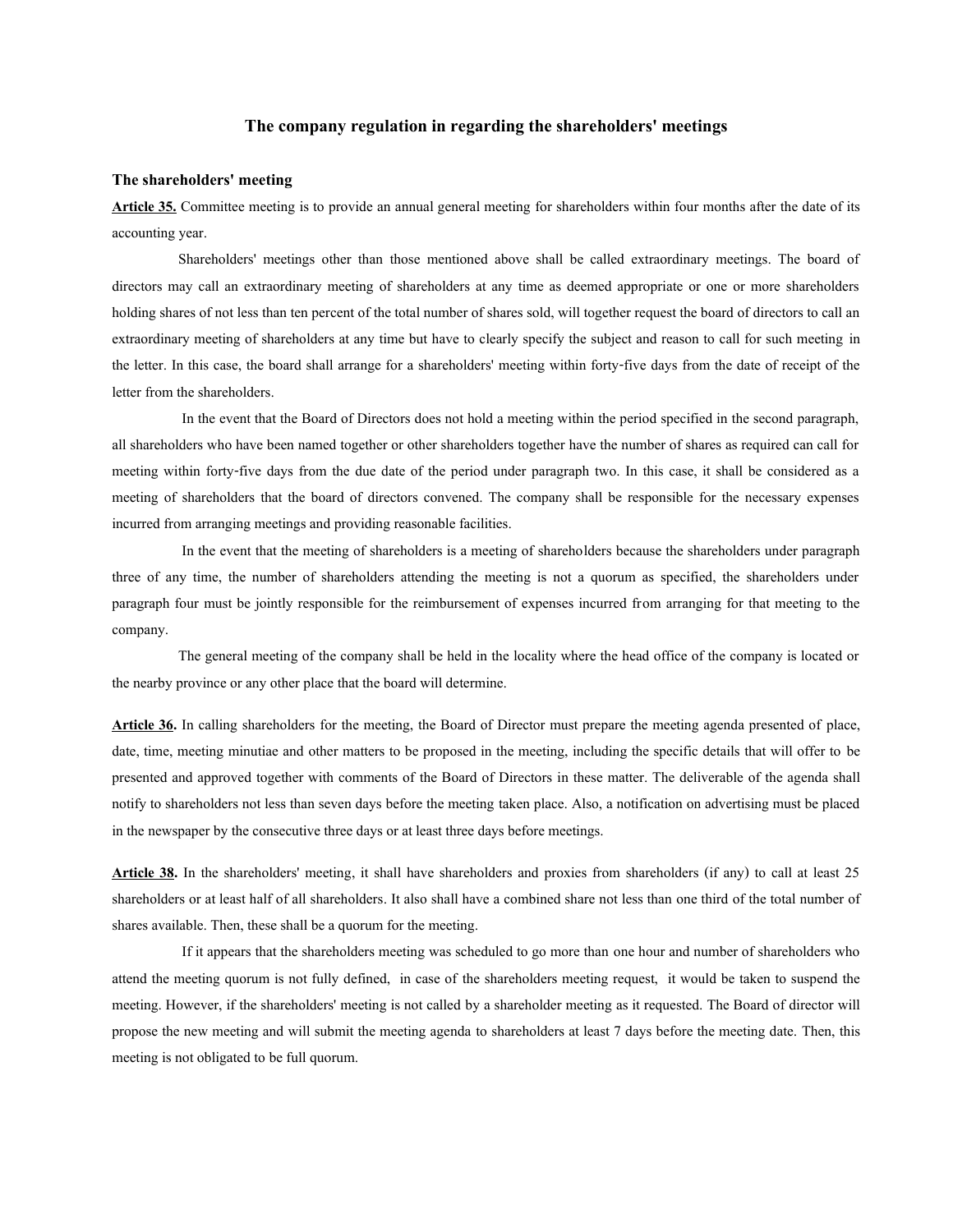# **The company regulation in regarding the shareholders' meetings**

### **The shareholders' meeting**

**Article 35.** Committee meeting is to provide an annual general meeting for shareholders within four months after the date of its accounting year.

Shareholders' meetings other than those mentioned above shall be called extraordinary meetings. The board of directors may call an extraordinary meeting of shareholders at any time as deemed appropriate or one or more shareholders holding shares of not less than ten percent of the total number of shares sold, will together request the board of directors to call an extraordinary meeting of shareholders at any time but have to clearly specify the subject and reason to call for such meeting in the letter. In this case, the board shall arrange for a shareholders' meeting within forty-five days from the date of receipt of the letter from the shareholders.

In the event that the Board of Directors does not hold a meeting within the period specified in the second paragraph, all shareholders who have been named together or other shareholders together have the number of shares as required can call for meeting within forty-five days from the due date of the period under paragraph two. In this case, it shall be considered as a meeting of shareholders that the board of directors convened. The company shall be responsible for the necessary expenses incurred from arranging meetings and providing reasonable facilities.

In the event that the meeting of shareholders is a meeting of shareholders because the shareholders under paragraph three of any time, the number of shareholders attending the meeting is not a quorum as specified, the shareholders under paragraph four must be jointly responsible for the reimbursement of expenses incurred from arranging for that meeting to the company.

The general meeting of the company shall be held in the locality where the head office of the company is located or the nearby province or any other place that the board will determine.

**Article 36.** In calling shareholders for the meeting, the Board of Director must prepare the meeting agenda presented of place, date, time, meeting minutiae and other matters to be proposed in the meeting, including the specific details that will offer to be presented and approved together with comments of the Board of Directors in these matter. The deliverable of the agenda shall notify to shareholders not less than seven days before the meeting taken place. Also, a notification on advertising must be placed in the newspaper by the consecutive three days or at least three days before meetings.

**Article 38.** In the shareholders' meeting, it shall have shareholders and proxies from shareholders (if any) to call at least 25 shareholders or at least half of all shareholders. It also shall have a combined share not less than one third of the total number of shares available. Then, these shall be a quorum for the meeting.

If it appears that the shareholders meeting was scheduled to go more than one hour and number of shareholders who attend the meeting quorum is not fully defined, in case of the shareholders meeting request, it would be taken to suspend the meeting. However, if the shareholders' meeting is not called by a shareholder meeting as it requested. The Board of director will propose the new meeting and will submit the meeting agenda to shareholders at least 7 days before the meeting date. Then, this meeting is not obligated to be full quorum.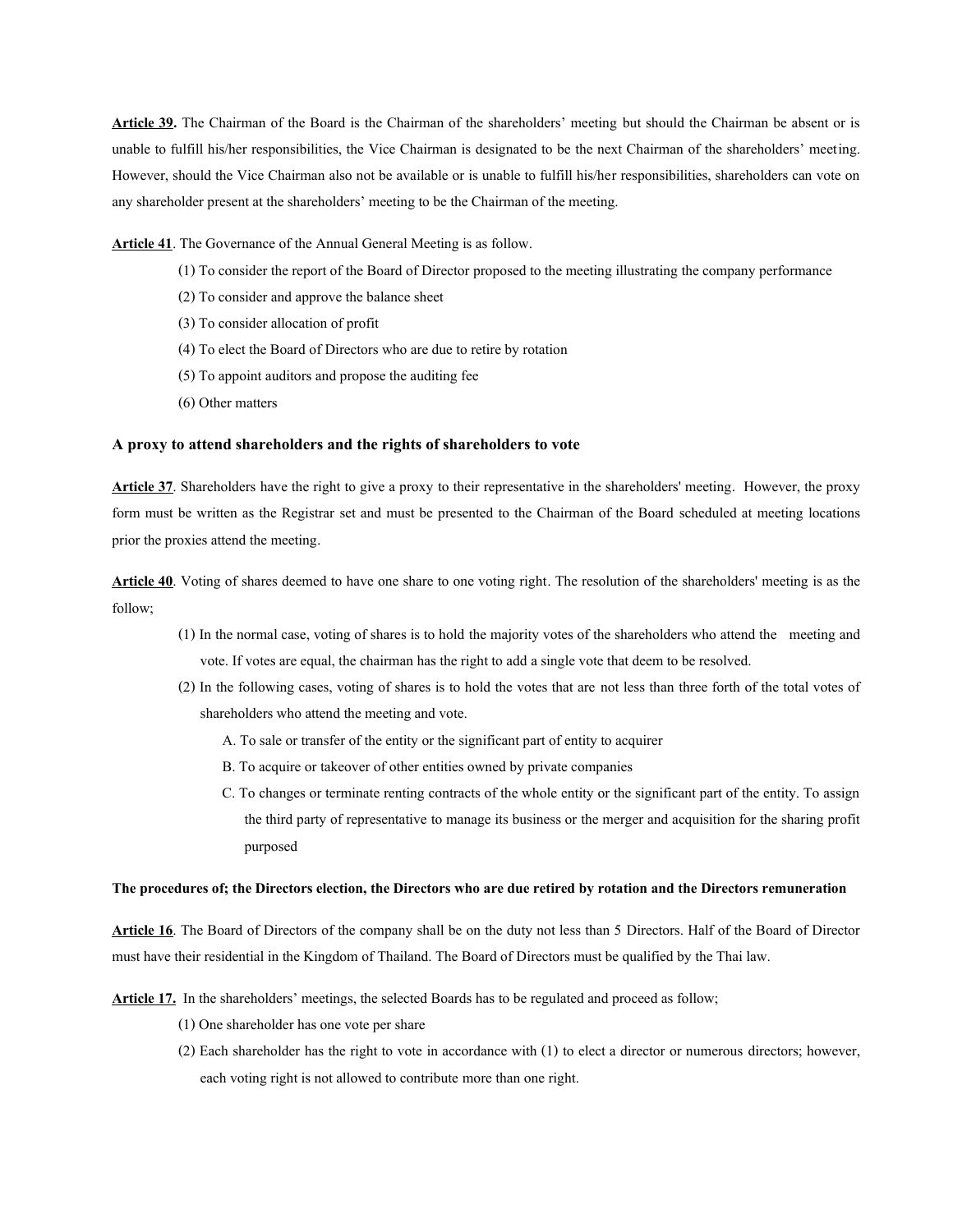**Article 39.** The Chairman of the Board is the Chairman of the shareholders' meeting but should the Chairman be absent or is unable to fulfill his/her responsibilities, the Vice Chairman is designated to be the next Chairman of the shareholders' meeting. However, should the Vice Chairman also not be available or is unable to fulfill his/her responsibilities, shareholders can vote on any shareholder present at the shareholders' meeting to be the Chairman of the meeting.

Article 41. The Governance of the Annual General Meeting is as follow.

- (1) To consider the report of the Board of Director proposed to the meeting illustrating the company performance
- (2) To consider and approve the balance sheet
- (3) To consider allocation of profit
- (4) To elect the Board of Directors who are due to retire by rotation
- (5) To appoint auditors and propose the auditing fee
- (6) Other matters

# **A proxy to attend shareholders and the rights of shareholders to vote**

**Article 37**. Shareholders have the right to give a proxy to their representative in the shareholders' meeting. However, the proxy form must be written as the Registrar set and must be presented to the Chairman of the Board scheduled at meeting locations prior the proxies attend the meeting.

**Article 40**. Voting of shares deemed to have one share to one voting right. The resolution of the shareholders' meeting is as the follow;

- (1) In the normal case, voting of shares is to hold the majority votes of the shareholders who attend the meeting and vote. If votes are equal, the chairman has the right to add a single vote that deem to be resolved.
- (2) In the following cases, voting of shares is to hold the votes that are not less than three forth of the total votes of shareholders who attend the meeting and vote.
	- A. To sale or transfer of the entity or the significant part of entity to acquirer
	- B. To acquire or takeover of other entities owned by private companies
	- C. To changes or terminate renting contracts of the whole entity or the significant part of the entity. To assign the third party of representative to manage its business or the merger and acquisition for the sharing profit purposed

#### **The procedures of; the Directors election, the Directors who are due retired by rotation and the Directors remuneration**

**Article 16**. The Board of Directors of the company shall be on the duty not less than 5 Directors. Half of the Board of Director must have their residential in the Kingdom of Thailand. The Board of Directors must be qualified by the Thai law.

**Article 17.** In the shareholders' meetings, the selected Boards has to be regulated and proceed as follow;

- (1) One shareholder has one vote per share
- (2) Each shareholder has the right to vote in accordance with (1) to elect a director or numerous directors; however, each voting right is not allowed to contribute more than one right.